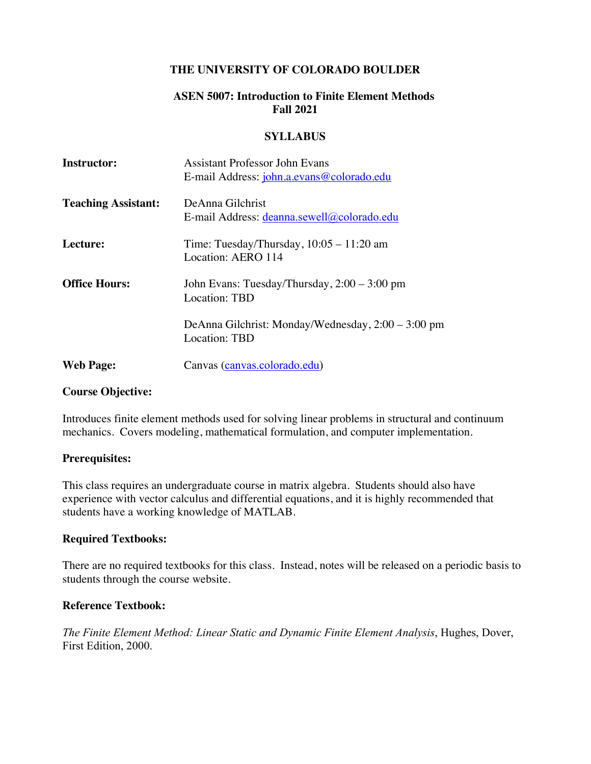### **THE UNIVERSITY OF COLORADO BOULDER**

## **ASEN 5007: Introduction to Finite Element Methods Fall 2021**

#### **SYLLABUS**

| <b>Instructor:</b>         | <b>Assistant Professor John Evans</b>              |
|----------------------------|----------------------------------------------------|
|                            | E-mail Address: john.a.evans@colorado.edu          |
| <b>Teaching Assistant:</b> | DeAnna Gilchrist                                   |
|                            | E-mail Address: deanna.sewell@colorado.edu         |
| Lecture:                   | Time: Tuesday/Thursday, $10:05 - 11:20$ am         |
|                            | Location: AERO 114                                 |
| <b>Office Hours:</b>       | John Evans: Tuesday/Thursday, 2:00 – 3:00 pm       |
|                            | Location: TBD                                      |
|                            | DeAnna Gilchrist: Monday/Wednesday, 2:00 – 3:00 pm |
|                            | Location: TBD                                      |
| <b>Web Page:</b>           | Canvas (canvas.colorado.edu)                       |
|                            |                                                    |

### **Course Objective:**

Introduces finite element methods used for solving linear problems in structural and continuum mechanics. Covers modeling, mathematical formulation, and computer implementation.

### **Prerequisites:**

This class requires an undergraduate course in matrix algebra. Students should also have experience with vector calculus and differential equations, and it is highly recommended that students have a working knowledge of MATLAB.

### **Required Textbooks:**

There are no required textbooks for this class. Instead, notes will be released on a periodic basis to students through the course website.

### **Reference Textbook:**

*The Finite Element Method: Linear Static and Dynamic Finite Element Analysis*, Hughes, Dover, First Edition, 2000.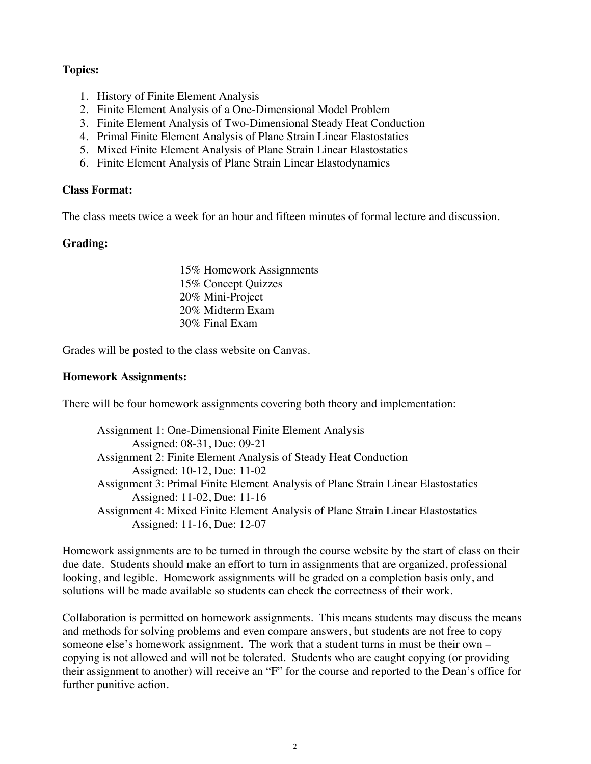## **Topics:**

- 1. History of Finite Element Analysis
- 2. Finite Element Analysis of a One-Dimensional Model Problem
- 3. Finite Element Analysis of Two-Dimensional Steady Heat Conduction
- 4. Primal Finite Element Analysis of Plane Strain Linear Elastostatics
- 5. Mixed Finite Element Analysis of Plane Strain Linear Elastostatics
- 6. Finite Element Analysis of Plane Strain Linear Elastodynamics

#### **Class Format:**

The class meets twice a week for an hour and fifteen minutes of formal lecture and discussion.

### **Grading:**

15% Homework Assignments 15% Concept Quizzes 20% Mini-Project 20% Midterm Exam 30% Final Exam

Grades will be posted to the class website on Canvas.

### **Homework Assignments:**

There will be four homework assignments covering both theory and implementation:

Assignment 1: One-Dimensional Finite Element Analysis Assigned: 08-31, Due: 09-21 Assignment 2: Finite Element Analysis of Steady Heat Conduction Assigned: 10-12, Due: 11-02 Assignment 3: Primal Finite Element Analysis of Plane Strain Linear Elastostatics Assigned: 11-02, Due: 11-16 Assignment 4: Mixed Finite Element Analysis of Plane Strain Linear Elastostatics Assigned: 11-16, Due: 12-07

Homework assignments are to be turned in through the course website by the start of class on their due date. Students should make an effort to turn in assignments that are organized, professional looking, and legible. Homework assignments will be graded on a completion basis only, and solutions will be made available so students can check the correctness of their work.

Collaboration is permitted on homework assignments. This means students may discuss the means and methods for solving problems and even compare answers, but students are not free to copy someone else's homework assignment. The work that a student turns in must be their own – copying is not allowed and will not be tolerated. Students who are caught copying (or providing their assignment to another) will receive an "F" for the course and reported to the Dean's office for further punitive action.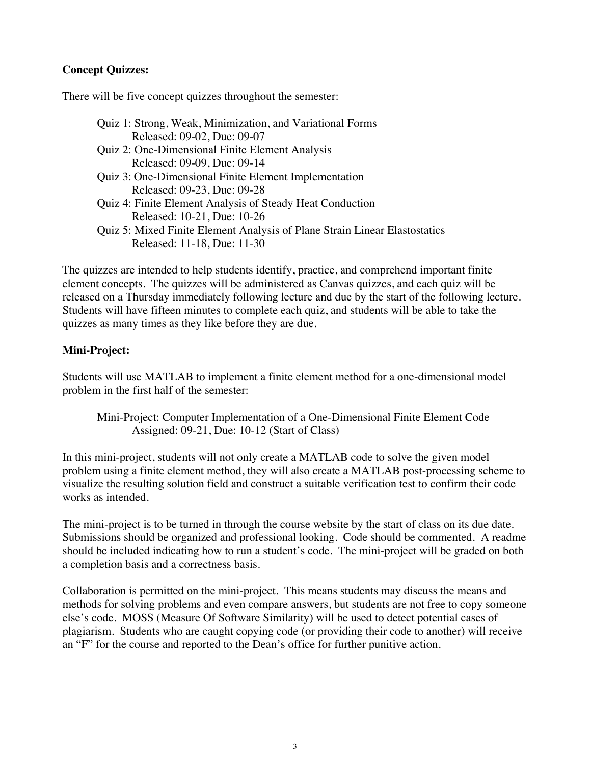## **Concept Quizzes:**

There will be five concept quizzes throughout the semester:

| Quiz 1: Strong, Weak, Minimization, and Variational Forms                  |
|----------------------------------------------------------------------------|
| Released: 09-02, Due: 09-07                                                |
| Quiz 2: One-Dimensional Finite Element Analysis                            |
| Released: 09-09, Due: 09-14                                                |
| Quiz 3: One-Dimensional Finite Element Implementation                      |
| Released: 09-23, Due: 09-28                                                |
| Quiz 4: Finite Element Analysis of Steady Heat Conduction                  |
| Released: 10-21, Due: 10-26                                                |
| Quiz 5: Mixed Finite Element Analysis of Plane Strain Linear Elastostatics |
| Released: 11-18, Due: 11-30                                                |

The quizzes are intended to help students identify, practice, and comprehend important finite element concepts. The quizzes will be administered as Canvas quizzes, and each quiz will be released on a Thursday immediately following lecture and due by the start of the following lecture. Students will have fifteen minutes to complete each quiz, and students will be able to take the quizzes as many times as they like before they are due.

### **Mini-Project:**

Students will use MATLAB to implement a finite element method for a one-dimensional model problem in the first half of the semester:

Mini-Project: Computer Implementation of a One-Dimensional Finite Element Code Assigned: 09-21, Due: 10-12 (Start of Class)

In this mini-project, students will not only create a MATLAB code to solve the given model problem using a finite element method, they will also create a MATLAB post-processing scheme to visualize the resulting solution field and construct a suitable verification test to confirm their code works as intended.

The mini-project is to be turned in through the course website by the start of class on its due date. Submissions should be organized and professional looking. Code should be commented. A readme should be included indicating how to run a student's code. The mini-project will be graded on both a completion basis and a correctness basis.

Collaboration is permitted on the mini-project. This means students may discuss the means and methods for solving problems and even compare answers, but students are not free to copy someone else's code. MOSS (Measure Of Software Similarity) will be used to detect potential cases of plagiarism. Students who are caught copying code (or providing their code to another) will receive an "F" for the course and reported to the Dean's office for further punitive action.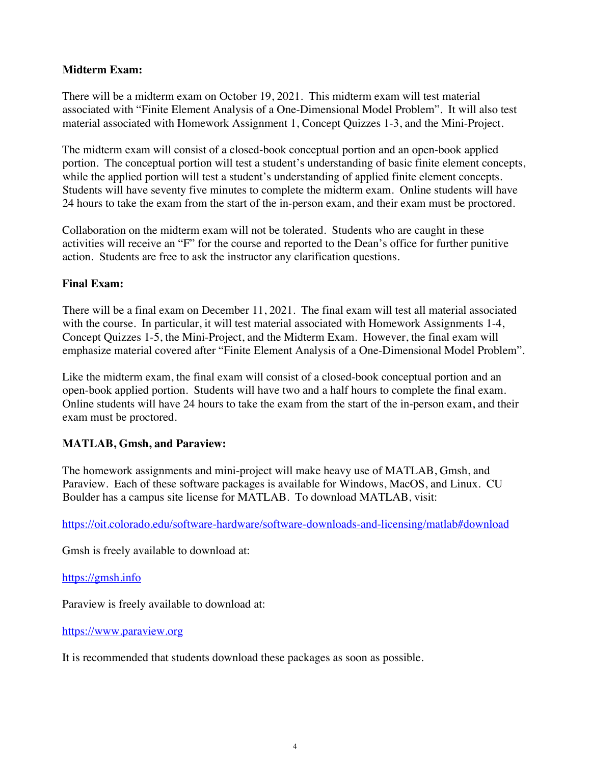### **Midterm Exam:**

There will be a midterm exam on October 19, 2021. This midterm exam will test material associated with "Finite Element Analysis of a One-Dimensional Model Problem". It will also test material associated with Homework Assignment 1, Concept Quizzes 1-3, and the Mini-Project.

The midterm exam will consist of a closed-book conceptual portion and an open-book applied portion. The conceptual portion will test a student's understanding of basic finite element concepts, while the applied portion will test a student's understanding of applied finite element concepts. Students will have seventy five minutes to complete the midterm exam. Online students will have 24 hours to take the exam from the start of the in-person exam, and their exam must be proctored.

Collaboration on the midterm exam will not be tolerated. Students who are caught in these activities will receive an "F" for the course and reported to the Dean's office for further punitive action. Students are free to ask the instructor any clarification questions.

# **Final Exam:**

There will be a final exam on December 11, 2021. The final exam will test all material associated with the course. In particular, it will test material associated with Homework Assignments 1-4, Concept Quizzes 1-5, the Mini-Project, and the Midterm Exam. However, the final exam will emphasize material covered after "Finite Element Analysis of a One-Dimensional Model Problem".

Like the midterm exam, the final exam will consist of a closed-book conceptual portion and an open-book applied portion. Students will have two and a half hours to complete the final exam. Online students will have 24 hours to take the exam from the start of the in-person exam, and their exam must be proctored.

# **MATLAB, Gmsh, and Paraview:**

The homework assignments and mini-project will make heavy use of MATLAB, Gmsh, and Paraview. Each of these software packages is available for Windows, MacOS, and Linux. CU Boulder has a campus site license for MATLAB. To download MATLAB, visit:

https://oit.colorado.edu/software-hardware/software-downloads-and-licensing/matlab#download

Gmsh is freely available to download at:

https://gmsh.info

Paraview is freely available to download at:

https://www.paraview.org

It is recommended that students download these packages as soon as possible.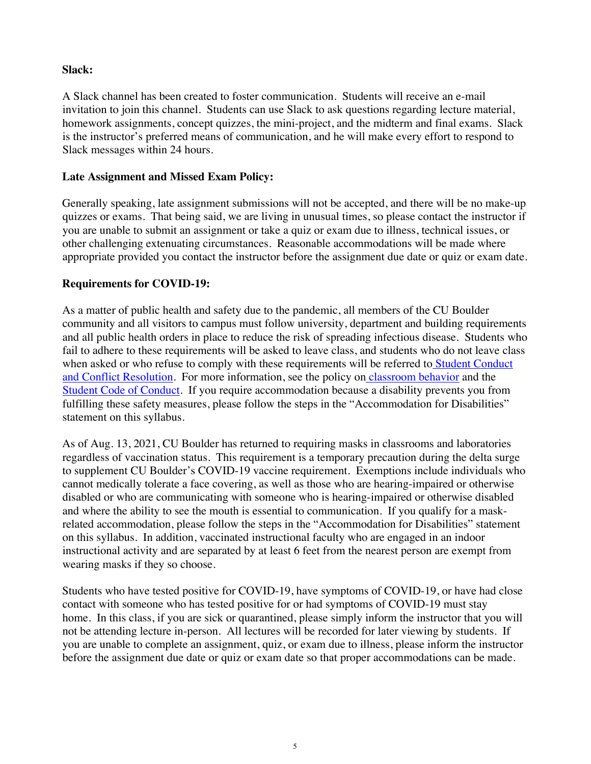### **Slack:**

A Slack channel has been created to foster communication. Students will receive an e-mail invitation to join this channel. Students can use Slack to ask questions regarding lecture material, homework assignments, concept quizzes, the mini-project, and the midterm and final exams. Slack is the instructor's preferred means of communication, and he will make every effort to respond to Slack messages within 24 hours.

### **Late Assignment and Missed Exam Policy:**

Generally speaking, late assignment submissions will not be accepted, and there will be no make-up quizzes or exams. That being said, we are living in unusual times, so please contact the instructor if you are unable to submit an assignment or take a quiz or exam due to illness, technical issues, or other challenging extenuating circumstances. Reasonable accommodations will be made where appropriate provided you contact the instructor before the assignment due date or quiz or exam date.

# **Requirements for COVID-19:**

As a matter of public health and safety due to the pandemic, all members of the CU Boulder community and all visitors to campus must follow university, department and building requirements and all public health orders in place to reduce the risk of spreading infectious disease. Students who fail to adhere to these requirements will be asked to leave class, and students who do not leave class when asked or who refuse to comply with these requirements will be referred to Student Conduct and Conflict Resolution. For more information, see the policy on classroom behavior and the Student Code of Conduct. If you require accommodation because a disability prevents you from fulfilling these safety measures, please follow the steps in the "Accommodation for Disabilities" statement on this syllabus.

As of Aug. 13, 2021, CU Boulder has returned to requiring masks in classrooms and laboratories regardless of vaccination status. This requirement is a temporary precaution during the delta surge to supplement CU Boulder's COVID-19 vaccine requirement. Exemptions include individuals who cannot medically tolerate a face covering, as well as those who are hearing-impaired or otherwise disabled or who are communicating with someone who is hearing-impaired or otherwise disabled and where the ability to see the mouth is essential to communication. If you qualify for a maskrelated accommodation, please follow the steps in the "Accommodation for Disabilities" statement on this syllabus. In addition, vaccinated instructional faculty who are engaged in an indoor instructional activity and are separated by at least 6 feet from the nearest person are exempt from wearing masks if they so choose.

Students who have tested positive for COVID-19, have symptoms of COVID-19, or have had close contact with someone who has tested positive for or had symptoms of COVID-19 must stay home. In this class, if you are sick or quarantined, please simply inform the instructor that you will not be attending lecture in-person. All lectures will be recorded for later viewing by students.If you are unable to complete an assignment, quiz, or exam due to illness, please inform the instructor before the assignment due date or quiz or exam date so that proper accommodations can be made.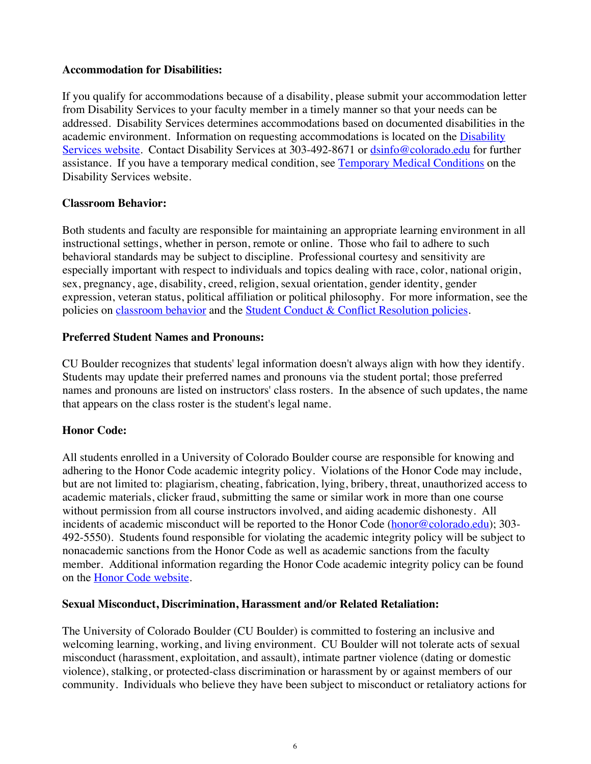### **Accommodation for Disabilities:**

If you qualify for accommodations because of a disability, please submit your accommodation letter from Disability Services to your faculty member in a timely manner so that your needs can be addressed. Disability Services determines accommodations based on documented disabilities in the academic environment. Information on requesting accommodations is located on the Disability Services website. Contact Disability Services at 303-492-8671 or dsinfo@colorado.edu for further assistance. If you have a temporary medical condition, see Temporary Medical Conditions on the Disability Services website.

# **Classroom Behavior:**

Both students and faculty are responsible for maintaining an appropriate learning environment in all instructional settings, whether in person, remote or online. Those who fail to adhere to such behavioral standards may be subject to discipline. Professional courtesy and sensitivity are especially important with respect to individuals and topics dealing with race, color, national origin, sex, pregnancy, age, disability, creed, religion, sexual orientation, gender identity, gender expression, veteran status, political affiliation or political philosophy. For more information, see the policies on classroom behavior and the Student Conduct & Conflict Resolution policies.

# **Preferred Student Names and Pronouns:**

CU Boulder recognizes that students' legal information doesn't always align with how they identify. Students may update their preferred names and pronouns via the student portal; those preferred names and pronouns are listed on instructors' class rosters. In the absence of such updates, the name that appears on the class roster is the student's legal name.

# **Honor Code:**

All students enrolled in a University of Colorado Boulder course are responsible for knowing and adhering to the Honor Code academic integrity policy. Violations of the Honor Code may include, but are not limited to: plagiarism, cheating, fabrication, lying, bribery, threat, unauthorized access to academic materials, clicker fraud, submitting the same or similar work in more than one course without permission from all course instructors involved, and aiding academic dishonesty. All incidents of academic misconduct will be reported to the Honor Code (honor@colorado.edu); 303-492-5550). Students found responsible for violating the academic integrity policy will be subject to nonacademic sanctions from the Honor Code as well as academic sanctions from the faculty member. Additional information regarding the Honor Code academic integrity policy can be found on the Honor Code website.

# **Sexual Misconduct, Discrimination, Harassment and/or Related Retaliation:**

The University of Colorado Boulder (CU Boulder) is committed to fostering an inclusive and welcoming learning, working, and living environment. CU Boulder will not tolerate acts of sexual misconduct (harassment, exploitation, and assault), intimate partner violence (dating or domestic violence), stalking, or protected-class discrimination or harassment by or against members of our community. Individuals who believe they have been subject to misconduct or retaliatory actions for